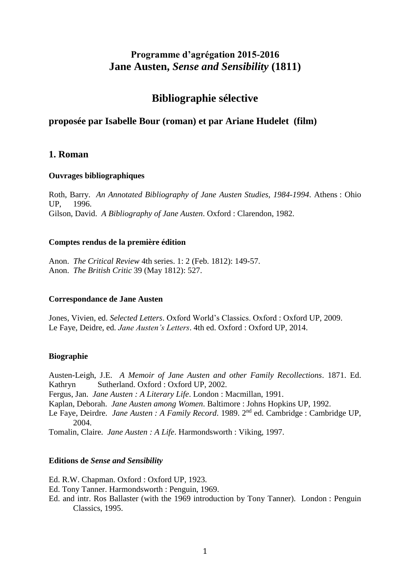# **Programme d'agrégation 2015-2016 Jane Austen,** *Sense and Sensibility* **(1811)**

# **Bibliographie sélective**

# **proposée par Isabelle Bour (roman) et par Ariane Hudelet (film)**

## **1. Roman**

#### **Ouvrages bibliographiques**

Roth, Barry. *An Annotated Bibliography of Jane Austen Studies, 1984-1994*. Athens : Ohio UP, 1996. Gilson, David. *A Bibliography of Jane Austen*. Oxford : Clarendon, 1982.

#### **Comptes rendus de la première édition**

Anon. *The Critical Review* 4th series. 1: 2 (Feb. 1812): 149-57. Anon. *The British Critic* 39 (May 1812): 527.

#### **Correspondance de Jane Austen**

Jones, Vivien, ed. *Selected Letters*. Oxford World's Classics. Oxford : Oxford UP, 2009. Le Faye, Deidre, ed. *Jane Austen's Letters*. 4th ed. Oxford : Oxford UP, 2014.

### **Biographie**

Austen-Leigh, J.E. *A Memoir of Jane Austen and other Family Recollections*. 1871. Ed. Kathryn Sutherland. Oxford : Oxford UP, 2002.

Fergus, Jan. *Jane Austen : A Literary Life*. London : Macmillan, 1991.

Kaplan, Deborah. *Jane Austen among Women*. Baltimore : Johns Hopkins UP, 1992.

Le Faye, Deirdre. *Jane Austen* : A Family Record. 1989. 2<sup>nd</sup> ed. Cambridge : Cambridge UP, 2004.

Tomalin, Claire. *Jane Austen : A Life*. Harmondsworth : Viking, 1997.

#### **Editions de** *Sense and Sensibility*

Ed. R.W. Chapman. Oxford : Oxford UP, 1923.

Ed. Tony Tanner. Harmondsworth : Penguin, 1969.

Ed. and intr. Ros Ballaster (with the 1969 introduction by Tony Tanner). London : Penguin Classics, 1995.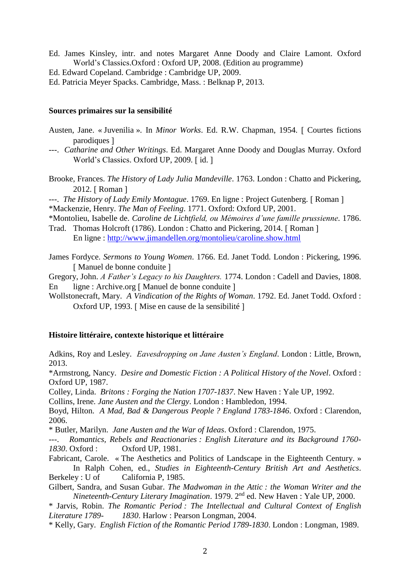- Ed. James Kinsley, intr. and notes Margaret Anne Doody and Claire Lamont. Oxford World's Classics.Oxford : Oxford UP, 2008. (Edition au programme)
- Ed. Edward Copeland. Cambridge : Cambridge UP, 2009.
- Ed. Patricia Meyer Spacks. Cambridge, Mass. : Belknap P, 2013.

#### **Sources primaires sur la sensibilité**

- Austen, Jane. « Juvenilia ». In *Minor Works*. Ed. R.W. Chapman, 1954. [ Courtes fictions parodiques
- ---. *Catharine and Other Writings*. Ed. Margaret Anne Doody and Douglas Murray. Oxford World's Classics. Oxford UP, 2009. [id.]
- Brooke, Frances. *The History of Lady Julia Mandeville*. 1763. London : Chatto and Pickering, 2012. [ Roman ]
- ---. *The History of Lady Emily Montague*. 1769. En ligne : Project Gutenberg. [ Roman ] \*Mackenzie, Henry. *The Man of Feeling*. 1771. Oxford: Oxford UP, 2001.
- \*Montolieu, Isabelle de. *Caroline de Lichtfield, ou Mémoires d'une famille prussienne.* 1786.
- Trad. Thomas Holcroft (1786). London: Chatto and Pickering, 2014. [Roman] En ligne :<http://www.jimandellen.org/montolieu/caroline.show.html>
- James Fordyce. *Sermons to Young Women*. 1766. Ed. Janet Todd. London : Pickering, 1996. [Manuel de bonne conduite]
- Gregory, John. *A Father's Legacy to his Daughters.* 1774. London : Cadell and Davies, 1808. En ligne : Archive.org [ Manuel de bonne conduite ]
- Wollstonecraft, Mary. *A Vindication of the Rights of Woman*. 1792. Ed. Janet Todd. Oxford : Oxford UP, 1993. [Mise en cause de la sensibilité ]

#### **Histoire littéraire, contexte historique et littéraire**

Adkins, Roy and Lesley. *Eavesdropping on Jane Austen's England*. London : Little, Brown, 2013.

\*Armstrong, Nancy. *Desire and Domestic Fiction : A Political History of the Novel*. Oxford : Oxford UP, 1987.

Colley, Linda. *Britons : Forging the Nation 1707-1837*. New Haven : Yale UP, 1992.

Collins, Irene. *Jane Austen and the Clergy*. London : Hambledon, 1994.

Boyd, Hilton. *A Mad, Bad & Dangerous People ? England 1783-1846*. Oxford : Clarendon, 2006.

\* Butler, Marilyn. *Jane Austen and the War of Ideas*. Oxford : Clarendon, 1975.

---. *Romantics, Rebels and Reactionaries : English Literature and its Background 1760- 1830*. Oxford : Oxford UP, 1981.

Fabricant, Carole. « The Aesthetics and Politics of Landscape in the Eighteenth Century. » In Ralph Cohen, ed., *Studies in Eighteenth-Century British Art and Aesthetics*. Berkeley : U of California P, 1985.

Gilbert, Sandra, and Susan Gubar. *The Madwoman in the Attic : the Woman Writer and the Nineteenth-Century Literary Imagination*. 1979. 2nd ed. New Haven : Yale UP, 2000.

\* Jarvis, Robin. *The Romantic Period : The Intellectual and Cultural Context of English Literature 1789- 1830*. Harlow : Pearson Longman, 2004.

\* Kelly, Gary. *English Fiction of the Romantic Period 1789-1830*. London : Longman, 1989.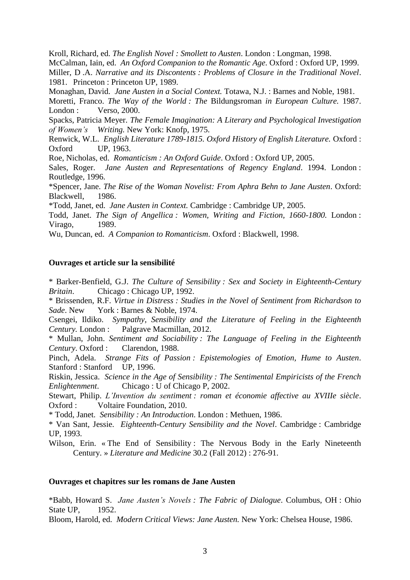Kroll, Richard, ed. *The English Novel : Smollett to Austen*. London : Longman, 1998.

McCalman, Iain, ed. *An Oxford Companion to the Romantic Age*. Oxford : Oxford UP, 1999.

Miller, D .A. *Narrative and its Discontents : Problems of Closure in the Traditional Novel*. 1981. Princeton : Princeton UP, 1989.

Monaghan, David. *Jane Austen in a Social Context.* Totawa, N.J. : Barnes and Noble, 1981.

Moretti, Franco. *The Way of the World : The* Bildungsroman *in European Culture.* 1987. London : Verso, 2000.

Spacks, Patricia Meyer. *The Female Imagination: A Literary and Psychological Investigation of Women's Writing.* New York: Knofp, 1975.

Renwick, W.L. *English Literature 1789-1815. Oxford History of English Literature.* Oxford : Oxford UP, 1963.

Roe, Nicholas, ed. *Romanticism : An Oxford Guide*. Oxford : Oxford UP, 2005.

Sales, Roger. *Jane Austen and Representations of Regency England*. 1994. London : Routledge, 1996.

\*Spencer, Jane. *The Rise of the Woman Novelist: From Aphra Behn to Jane Austen*. Oxford: Blackwell, 1986.

\*Todd, Janet, ed. *Jane Austen in Context.* Cambridge : Cambridge UP, 2005.

Todd, Janet. *The Sign of Angellica : Women, Writing and Fiction, 1660-1800.* London : Virago, 1989.

Wu, Duncan, ed. *A Companion to Romanticism*. Oxford : Blackwell, 1998.

#### **Ouvrages et article sur la sensibilité**

\* Barker-Benfield, G.J. *The Culture of Sensibility : Sex and Society in Eighteenth-Century Britain*. Chicago : Chicago UP, 1992.

\* Brissenden, R.F. *Virtue in Distress : Studies in the Novel of Sentiment from Richardson to*  Sade. New York : Barnes & Noble, 1974.

Csengei, Ildiko. *Sympathy, Sensibility and the Literature of Feeling in the Eighteenth Century.* London : Palgrave Macmillan, 2012.

\* Mullan, John. *Sentiment and Sociability : The Language of Feeling in the Eighteenth Century*. Oxford : Clarendon, 1988.

Pinch, Adela. *Strange Fits of Passion : Epistemologies of Emotion, Hume to Austen*. Stanford : Stanford UP, 1996.

Riskin, Jessica. *Science in the Age of Sensibility : The Sentimental Empiricists of the French Enlightenment*. Chicago : U of Chicago P, 2002.

Stewart, Philip. *L'Invention du sentiment : roman et économie affective au XVIIIe siècle*. Oxford : Voltaire Foundation, 2010.

\* Todd, Janet. *Sensibility : An Introduction*. London : Methuen, 1986.

\* Van Sant, Jessie. *Eighteenth-Century Sensibility and the Novel*. Cambridge : Cambridge UP, 1993.

Wilson, Erin. « The End of Sensibility : The Nervous Body in the Early Nineteenth Century. » *Literature and Medicine* 30.2 (Fall 2012) : 276-91.

#### **Ouvrages et chapitres sur les romans de Jane Austen**

\*Babb, Howard S. *Jane Austen's Novels : The Fabric of Dialogue*. Columbus, OH : Ohio State UP, 1952.

Bloom, Harold, ed. *Modern Critical Views: Jane Austen.* New York: Chelsea House, 1986.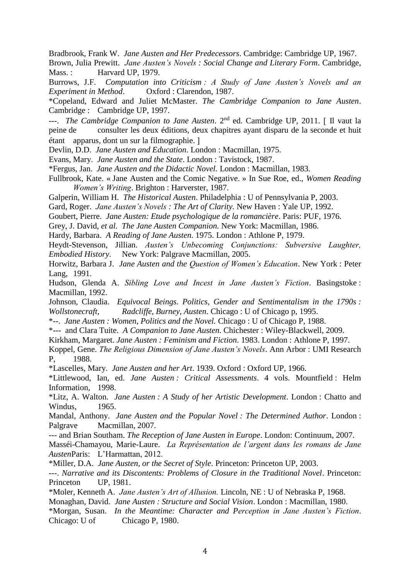Bradbrook, Frank W. *Jane Austen and Her Predecessors*. Cambridge: Cambridge UP, 1967. Brown, Julia Prewitt. *Jane Austen's Novels : Social Change and Literary Form*. Cambridge, Mass.: Harvard UP, 1979.

Burrows, J.F. *Computation into Criticism : A Study of Jane Austen's Novels and an Experiment in Method*. Oxford : Clarendon, 1987.

\*Copeland, Edward and Juliet McMaster. *The Cambridge Companion to Jane Austen*. Cambridge : Cambridge UP, 1997.

---. *The Cambridge Companion to Jane Austen*. 2nd ed. Cambridge UP, 2011. Il vaut la peine de consulter les deux éditions, deux chapitres ayant disparu de la seconde et huit étant apparus, dont un sur la filmographie.

Devlin, D.D. *Jane Austen and Education*. London : Macmillan, 1975.

Evans, Mary. *Jane Austen and the State*. London : Tavistock, 1987.

\*Fergus, Jan. *Jane Austen and the Didactic Novel.* London : Macmillan, 1983.

Fullbrook, Kate. « Jane Austen and the Comic Negative. » In Sue Roe, ed., *Women Reading Women's Writing*. Brighton : Harverster, 1987.

Galperin, William H. *The Historical Austen*. Philadelphia : U of Pennsylvania P, 2003.

Gard, Roger. *Jane Austen's Novels : The Art of Clarity.* New Haven : Yale UP, 1992.

Goubert, Pierre. *Jane Austen: Etude psychologique de la romancière*. Paris: PUF, 1976.

Grey, J. David, *et al. The Jane Austen Companion.* New York: Macmillan, 1986.

Hardy, Barbara. *A Reading of Jane Austen*. 1975. London : Athlone P, 1979.

Heydt-Stevenson, Jillian. *Austen's Unbecoming Conjunctions: Subversive Laughter, Embodied History*. New York: Palgrave Macmillan, 2005.

Horwitz, Barbara J. *Jane Austen and the Question of Women's Education*. New York : Peter Lang, 1991.

Hudson, Glenda A. *Sibling Love and Incest in Jane Austen's Fiction*. Basingstoke : Macmillan, 1992.

Johnson, Claudia. *Equivocal Beings. Politics, Gender and Sentimentalism in the 1790s : Wollstonecraft, Radcliffe, Burney, Austen*. Chicago : U of Chicago p, 1995.

\*--. *Jane Austen : Women, Politics and the Novel.* Chicago : U of Chicago P, 1988.

\*--- and Clara Tuite. *A Companion to Jane Austen*. Chichester : Wiley-Blackwell, 2009.

Kirkham, Margaret. *Jane Austen : Feminism and Fiction*. 1983. London : Athlone P, 1997.

Koppel, Gene. *The Religious Dimension of Jane Austen's Novels*. Ann Arbor : UMI Research P, 1988.

\*Lascelles, Mary. *Jane Austen and her Art*. 1939. Oxford : Oxford UP, 1966.

\*Littlewood, Ian, ed. *Jane Austen : Critical Assessments*. 4 vols. Mountfield : Helm Information, 1998.

\*Litz, A. Walton. *Jane Austen : A Study of her Artistic Development*. London : Chatto and Windus, 1965.

Mandal, Anthony. *Jane Austen and the Popular Novel : The Determined Author*. London : Palgrave Macmillan, 2007.

--- and Brian Southam. *The Reception of Jane Austen in Europe*. London: Continuum, 2007. Masséi-Chamayou, Marie-Laure. *La Représentation de l'argent dans les romans de Jane* 

*Austen*Paris: L'Harmattan, 2012.

\*Miller, D.A. *Jane Austen, or the Secret of Style*. Princeton: Princeton UP, 2003.

---. *Narrative and its Discontents: Problems of Closure in the Traditional Novel*. Princeton: Princeton UP, 1981.

\*Moler, Kenneth A. *Jane Austen's Art of Allusion.* Lincoln, NE : U of Nebraska P, 1968.

Monaghan, David. *Jane Austen : Structure and Social Vision*. London : Macmillan, 1980.

\*Morgan, Susan. *In the Meantime: Character and Perception in Jane Austen's Fiction*. Chicago: U of Chicago P, 1980.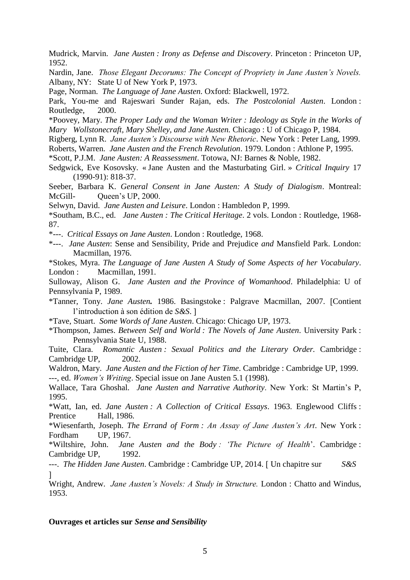Mudrick, Marvin. *Jane Austen : Irony as Defense and Discovery*. Princeton : Princeton UP, 1952.

Nardin, Jane. *Those Elegant Decorums: The Concept of Propriety in Jane Austen's Novels.* Albany, NY: State U of New York P, 1973.

Page, Norman. *The Language of Jane Austen*. Oxford: Blackwell, 1972.

Park, You-me and Rajeswari Sunder Rajan, eds. *The Postcolonial Austen*. London : Routledge, 2000.

\*Poovey, Mary. *The Proper Lady and the Woman Writer : Ideology as Style in the Works of Mary Wollstonecraft, Mary Shelley, and Jane Austen.* Chicago : U of Chicago P, 1984.

Rigberg, Lynn R. *Jane Austen's Discourse with New Rhetoric*. New York : Peter Lang, 1999.

Roberts, Warren. *Jane Austen and the French Revolution*. 1979. London : Athlone P, 1995.

\*Scott, P.J.M. *Jane Austen: A Reassessment*. Totowa, NJ: Barnes & Noble, 1982.

Sedgwick, Eve Kosovsky. « Jane Austen and the Masturbating Girl. » *Critical Inquiry* 17 (1990-91): 818-37.

Seeber, Barbara K. *General Consent in Jane Austen: A Study of Dialogism*. Montreal: McGill- Queen's UP, 2000.

Selwyn, David. *Jane Austen and Leisure*. London : Hambledon P, 1999.

\*Southam, B.C., ed. *Jane Austen : The Critical Heritage*. 2 vols. London : Routledge, 1968- 87.

\*---. *Critical Essays on Jane Austen*. London : Routledge, 1968.

\*---. *Jane Austen*: Sense and Sensibility, Pride and Prejudice *and* Mansfield Park. London: Macmillan, 1976.

\*Stokes, Myra. *The Language of Jane Austen A Study of Some Aspects of her Vocabulary*. London : Macmillan, 1991.

Sulloway, Alison G. *Jane Austen and the Province of Womanhood*. Philadelphia: U of Pennsylvania P, 1989.

\*Tanner, Tony. *Jane Austen.* 1986. Basingstoke : Palgrave Macmillan, 2007. Contient l'introduction à son édition de *S&S*.

\*Tave, Stuart. *Some Words of Jane Austen*. Chicago: Chicago UP, 1973.

\*Thompson, James. *Between Self and World : The Novels of Jane Austen*. University Park : Pennsylvania State U, 1988.

Tuite, Clara. *Romantic Austen : Sexual Politics and the Literary Order.* Cambridge : Cambridge UP, 2002.

Waldron, Mary. *Jane Austen and the Fiction of her Time*. Cambridge : Cambridge UP, 1999. ---, ed. *Women's Writing*. Special issue on Jane Austen 5.1 (1998).

Wallace, Tara Ghoshal. *Jane Austen and Narrative Authority*. New York: St Martin's P, 1995.

\*Watt, Ian, ed. *Jane Austen : A Collection of Critical Essays*. 1963. Englewood Cliffs : Prentice Hall, 1986.

\*Wiesenfarth, Joseph. *The Errand of Form : An Assay of Jane Austen's Art*. New York : Fordham UP, 1967.

\*Wiltshire, John. *Jane Austen and the Body : 'The Picture of Health*'. Cambridge : Cambridge UP, 1992.

---. *The Hidden Jane Austen*. Cambridge : Cambridge UP, 2014. Un chapitre sur *S&S*  l

Wright, Andrew. *Jane Austen's Novels: A Study in Structure.* London : Chatto and Windus, 1953.

#### **Ouvrages et articles sur** *Sense and Sensibility*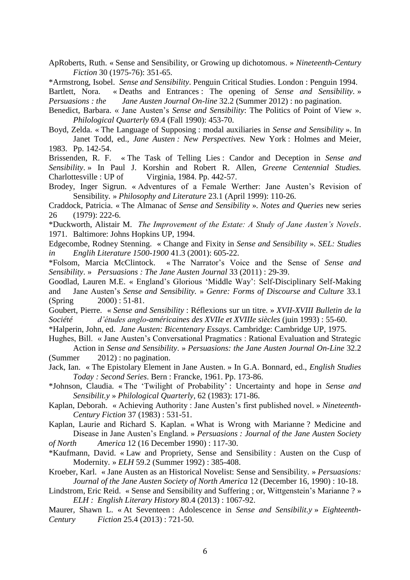- ApRoberts, Ruth. « Sense and Sensibility, or Growing up dichotomous. » *Nineteenth-Century Fiction* 30 (1975-76): 351-65.
- \*Armstrong, Isobel. *Sense and Sensibility*. Penguin Critical Studies. London : Penguin 1994.
- Bartlett, Nora. « Deaths and Entrances : The opening of *Sense and Sensibility.* » *Persuasions : the Jane Austen Journal On-line* 32.2 (Summer 2012) : no pagination.
- Benedict, Barbara. « Jane Austen's *Sense and Sensibility*: The Politics of Point of View ». *Philological Quarterly* 69.4 (Fall 1990): 453-70.
- Boyd, Zelda. « The Language of Supposing : modal auxiliaries in *Sense and Sensibility* ». In Janet Todd, ed., *Jane Austen* : New Perspectives. New York : Holmes and Meier, 1983. Pp. 142-54.
- Brissenden, R. F. « The Task of Telling Lies : Candor and Deception in *Sense and Sensibility*. » In Paul J. Korshin and Robert R. Allen, *Greene Centennial Studies.* Charlottesville : UP of Virginia, 1984. Pp. 442-57.
- Brodey, Inger Sigrun. « Adventures of a Female Werther: Jane Austen's Revision of Sensibility. » *Philosophy and Literature* 23.1 (April 1999): 110-26.
- Craddock, Patricia. « The Almanac of *Sense and Sensibility* ». *Notes and Queries* new series 26 (1979): 222-6.
- \*Duckworth, Alistair M. *The Improvement of the Estate: A Study of Jane Austen's Novels*. 1971. Baltimore: Johns Hopkins UP, 1994.
- Edgecombe, Rodney Stenning. « Change and Fixity in *Sense and Sensibility* ». *SEL: Studies in Englih Literature 1500-1900* 41.3 (2001): 605-22.
- \*Folsom, Marcia McClintock. « The Narrator's Voice and the Sense of *Sense and Sensibility*. » *Persuasions : The Jane Austen Journal* 33 (2011) : 29-39.
- Goodlad, Lauren M.E. « England's Glorious 'Middle Way': Self-Disciplinary Self-Making and Jane Austen's *Sense and Sensibility.* » *Genre: Forms of Discourse and Culture* 33.1 (Spring 2000) : 51-81.
- Goubert, Pierre. « *Sense and Sensibility* : Réflexions sur un titre. » *XVII-XVIII Bulletin de la Société d'études anglo-américaines des XVIIe et XVIIIe siècles* (juin 1993) : 55-60.
- \*Halperin, John, ed. *Jane Austen: Bicentenary Essays*. Cambridge: Cambridge UP, 1975.
- Hughes, Bill. « Jane Austen's Conversational Pragmatics : Rational Evaluation and Strategic Action in *Sense and Sensibility*. » *Persuasions: the Jane Austen Journal On-Line* 32.2 (Summer 2012) : no pagination.
- Jack, Ian. « The Epistolary Element in Jane Austen. » In G.A. Bonnard, ed., *English Studies Today : Second Series*. Bern : Francke, 1961. Pp. 173-86.
- \*Johnson, Claudia. « The 'Twilight of Probability' : Uncertainty and hope in *Sense and Sensibilit.y* » *Philological Quarterly,* 62 (1983): 171-86.
- Kaplan, Deborah. « Achieving Authority : Jane Austen's first published novel. » *Nineteenth-Century Fiction* 37 (1983) : 531-51.
- Kaplan, Laurie and Richard S. Kaplan. « What is Wrong with Marianne ? Medicine and Disease in Jane Austen's England. » *Persuasions : Journal of the Jane Austen Society*
- *of North America* 12 (16 December 1990) : 117-30.
- \*Kaufmann, David. « Law and Propriety, Sense and Sensibility : Austen on the Cusp of Modernity. » *ELH* 59.2 (Summer 1992) : 385-408.
- Kroeber, Karl. « Jane Austen as an Historical Novelist: Sense and Sensibility. » *Persuasions: Journal of the Jane Austen Society of North America* 12 (December 16, 1990) : 10-18.
- Lindstrom, Eric Reid. « Sense and Sensibility and Suffering ; or, Wittgenstein's Marianne ? » *ELH : English Literary History* 80.4 (2013) : 1067-92.
- Maurer, Shawn L. « At Seventeen : Adolescence in *Sense and Sensibilit.y* » *Eighteenth-Century Fiction* 25.4 (2013) : 721-50.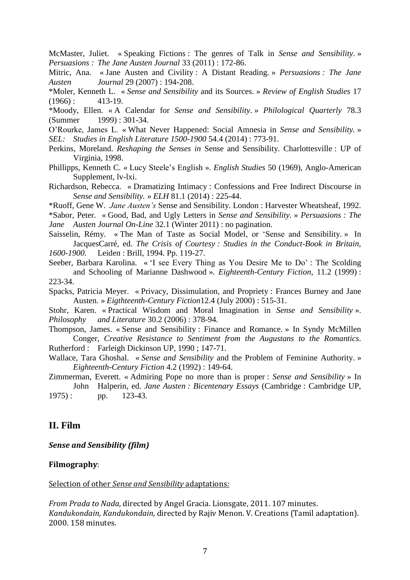McMaster, Juliet. « Speaking Fictions : The genres of Talk in *Sense and Sensibility*. » *Persuasions : The Jane Austen Journal* 33 (2011) : 172-86.

Mitric, Ana. « Jane Austen and Civility : A Distant Reading. » *Persuasions : The Jane Austen Journal* 29 (2007) : 194-208.

\*Moler, Kenneth L. « *Sense and Sensibility* and its Sources. » *Review of English Studies* 17  $(1966)$ : 413-19.

\*Moody, Ellen. « A Calendar for *Sense and Sensibility*. » *Philological Quarterly* 78.3 (Summer 1999) : 301-34.

O'Rourke, James L. « What Never Happened: Social Amnesia in *Sense and Sensibility.* » *SEL: Studies in English Literature 1500-1900* 54.4 (2014) : 773-91.

- Perkins, Moreland. *Reshaping the Senses in* Sense and Sensibility. Charlottesville : UP of Virginia, 1998.
- Phillipps, Kenneth C. « Lucy Steele's English ». *English Studies* 50 (1969), Anglo-American Supplement, lv-lxi.

Richardson, Rebecca. « Dramatizing Intimacy : Confessions and Free Indirect Discourse in *Sense and Sensibility.* » *ELH* 81.1 (2014) : 225-44.

\*Ruoff, Gene W. *Jane Austen's* Sense and Sensibility. London : Harvester Wheatsheaf, 1992.

\*Sabor, Peter. « Good, Bad, and Ugly Letters in *Sense and Sensibility.* » *Persuasions : The Jane Austen Journal On-Line* 32.1 (Winter 2011) : no pagination.

Saisselin, Rémy. « The Man of Taste as Social Model, or 'Sense and Sensibility. » In JacquesCarré, ed. *The Crisis of Courtesy : Studies in the Conduct-Book in Britain, 1600-1900.* Leiden : Brill, 1994. Pp. 119-27.

Seeber, Barbara Karolina. « 'I see Every Thing as You Desire Me to Do' : The Scolding and Schooling of Marianne Dashwood ». *Eighteenth-Century Fiction,* 11.2 (1999) : 223-34.

Spacks, Patricia Meyer. « Privacy, Dissimulation, and Propriety : Frances Burney and Jane Austen. » *Eigthteenth-Century Fiction*12.4 (July 2000) : 515-31.

Stohr, Karen. « Practical Wisdom and Moral Imagination in *Sense and Sensibility* ». *Philosophy and Literature* 30.2 (2006) : 378-94.

Thompson, James. « Sense and Sensibility : Finance and Romance. » In Syndy McMillen Conger, *Creative Resistance to Sentiment from the Augustans to the Romantics*. Rutherford : Farleigh Dickinson UP, 1990 ; 147-71.

Wallace, Tara Ghoshal. « *Sense and Sensibility* and the Problem of Feminine Authority. » *Eighteenth-Century Fiction* 4.2 (1992) : 149-64.

Zimmerman, Everett. « Admiring Pope no more than is proper : *Sense and Sensibility* » In John Halperin, ed. *Jane Austen : Bicentenary Essays* (Cambridge : Cambridge UP,

1975): pp. 123-43.

# **II. Film**

*Sense and Sensibility (film)*

#### **Filmography**:

Selection of other *Sense and Sensibility* adaptations*:* 

*From Prada to Nada*, directed by Angel Gracia. Lionsgate, 2011. 107 minutes. *Kandukondain, Kandukondain*, directed by Rajiv Menon. V. Creations (Tamil adaptation). 2000. 158 minutes.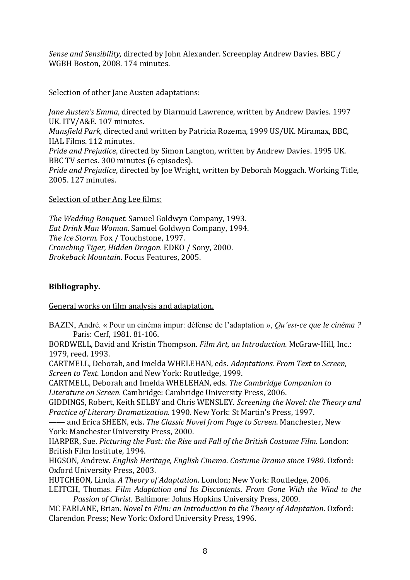*Sense and Sensibility*, directed by John Alexander. Screenplay Andrew Davies. BBC / WGBH Boston, 2008. 174 minutes.

### Selection of other Jane Austen adaptations:

*Jane Austen's Emma*, directed by Diarmuid Lawrence, written by Andrew Davies. 1997 UK. ITV/A&E. 107 minutes. *Mansfield Park,* directed and written by Patricia Rozema, 1999 US/UK. Miramax, BBC, HAL Films. 112 minutes. *Pride and Prejudice*, directed by Simon Langton, written by Andrew Davies. 1995 UK. BBC TV series. 300 minutes (6 episodes). *Pride and Prejudice*, directed by Joe Wright, written by Deborah Moggach. Working Title, 2005. 127 minutes.

Selection of other Ang Lee films:

*The Wedding Banquet.* Samuel Goldwyn Company, 1993. *Eat Drink Man Woman.* Samuel Goldwyn Company, 1994. *The Ice Storm.* Fox / Touchstone, 1997. *Crouching Tiger, Hidden Dragon.* EDKO / Sony, 2000. *Brokeback Mountain*. Focus Features, 2005.

## **Bibliography.**

General works on film analysis and adaptation.

BAZIN, André. « Pour un cinéma impur: défense de l'adaptation », *Qu'est-ce que le cinéma ?* Paris: Cerf, 1981. 81-106.

BORDWELL, David and Kristin Thompson. *Film Art, an Introduction.* McGraw-Hill, Inc.: 1979, reed. 1993.

CARTMELL, Deborah, and Imelda WHELEHAN, eds. *Adaptations. From Text to Screen, Screen to Text.* London and New York: Routledge, 1999.

CARTMELL, Deborah and Imelda WHELEHAN, eds. *The Cambridge Companion to Literature on Screen.* Cambridge: Cambridge University Press, 2006.

GIDDINGS, Robert, Keith SELBY and Chris WENSLEY. *Screening the Novel: the Theory and Practice of Literary Dramatization.* 1990. New York: St Martin's Press, 1997.

—— and Erica SHEEN, eds. *The Classic Novel from Page to Screen*. Manchester, New York: Manchester University Press, 2000.

HARPER, Sue. *Picturing the Past: the Rise and Fall of the British Costume Film.* London: British Film Institute, 1994.

HIGSON, Andrew. *English Heritage, English Cinema. Costume Drama since 1980*. Oxford: Oxford University Press, 2003.

HUTCHEON, Linda. *A Theory of Adaptation*. London; New York: Routledge, 2006.

LEITCH, Thomas. *Film Adaptation and Its Discontents. From Gone With the Wind to the Passion of Christ.* Baltimore: Johns Hopkins University Press, 2009.

MC FARLANE, Brian. *Novel to Film: an Introduction to the Theory of Adaptation*. Oxford: Clarendon Press; New York: Oxford University Press, 1996.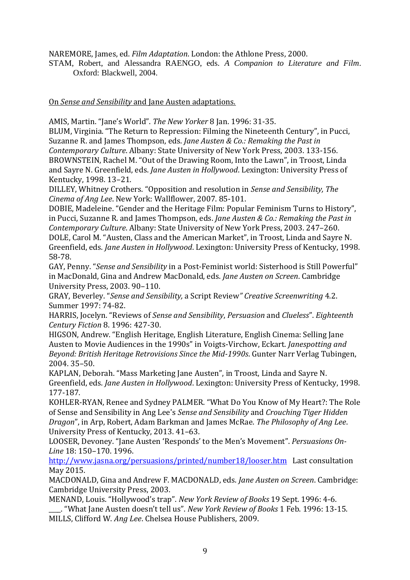NAREMORE, James, ed. *Film Adaptation*. London: the Athlone Press, 2000.

STAM, Robert, and Alessandra RAENGO, eds. *A Companion to Literature and Film*. Oxford: Blackwell, 2004.

On *Sense and Sensibility* and Jane Austen adaptations.

AMIS, Martin. "Jane's World". *The New Yorker* 8 Jan. 1996: 31-35.

BLUM, Virginia. "The Return to Repression: Filming the Nineteenth Century", in Pucci, Suzanne R. and James Thompson, eds. *Jane Austen & Co.: Remaking the Past in Contemporary Culture*. Albany: State University of New York Press, 2003. 133-156. BROWNSTEIN, Rachel M. "Out of the Drawing Room, Into the Lawn", in Troost, Linda and Sayre N. Greenfield, eds. *Jane Austen in Hollywood*. Lexington: University Press of Kentucky, 1998. 13–21.

DILLEY, Whitney Crothers. "Opposition and resolution in *Sense and Sensibility, The Cinema of Ang Lee*. New York: Wallflower, 2007. 85-101.

DOBIE, Madeleine. "Gender and the Heritage Film: Popular Feminism Turns to History", in Pucci, Suzanne R. and James Thompson, eds. *Jane Austen & Co.: Remaking the Past in Contemporary Culture*. Albany: State University of New York Press, 2003. 247–260. DOLE, Carol M. "Austen, Class and the American Market", in Troost, Linda and Sayre N. Greenfield, eds. *Jane Austen in Hollywood*. Lexington: University Press of Kentucky, 1998. 58-78.

GAY, Penny. "*Sense and Sensibility* in a Post-Feminist world: Sisterhood is Still Powerful" in MacDonald, Gina and Andrew MacDonald, eds. *Jane Austen on Screen*. Cambridge University Press, 2003. 90–110.

GRAY, Beverley. "*Sense and Sensibility,* a Script Review*" Creative Screenwriting* 4.2. Summer 1997: 74-82.

HARRIS, Jocelyn. "Reviews of *Sense and Sensibility*, *Persuasion* and *Clueless*". *Eighteenth Century Fiction* 8. 1996: 427-30.

HIGSON, Andrew. "English Heritage, English Literature, English Cinema: Selling Jane Austen to Movie Audiences in the 1990s" in Voigts-Virchow, Eckart. *Janespotting and Beyond: British Heritage Retrovisions Since the Mid-1990s*. Gunter Narr Verlag Tubingen, 2004. 35–50.

KAPLAN, Deborah. "Mass Marketing Jane Austen", in Troost, Linda and Sayre N. Greenfield, eds. *Jane Austen in Hollywood*. Lexington: University Press of Kentucky, 1998. 177-187.

KOHLER-RYAN, Renee and Sydney PALMER. "What Do You Know of My Heart?: The Role of Sense and Sensibility in Ang Lee's *Sense and Sensibility* and *Crouching Tiger Hidden Dragon*", in Arp, Robert, Adam Barkman and James McRae. *The Philosophy of Ang Lee*. University Press of Kentucky, 2013. 41–63.

LOOSER, Devoney. "Jane Austen 'Responds' to the Men's Movement". *Persuasions On-Line* 18: 150–170. 1996.

<http://www.jasna.org/persuasions/printed/number18/looser.htm>Last consultation May 2015.

MACDONALD, Gina and Andrew F. MACDONALD, eds. *Jane Austen on Screen*. Cambridge: Cambridge University Press, 2003.

MENAND, Louis. "Hollywood's trap". *New York Review of Books* 19 Sept. 1996: 4-6.

\_\_\_\_. "What Jane Austen doesn't tell us". *New York Review of Books* 1 Feb. 1996: 13-15. MILLS, Clifford W. *Ang Lee*. Chelsea House Publishers, 2009.